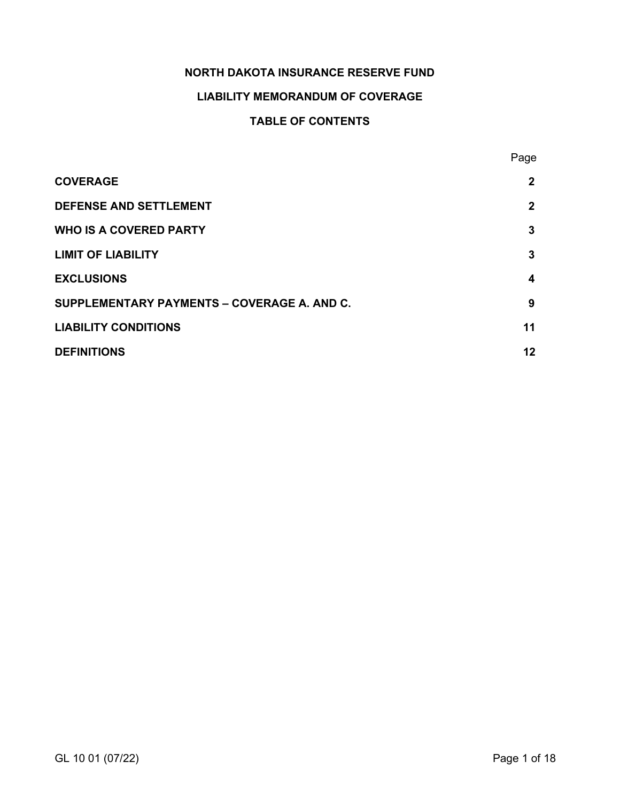# **NORTH DAKOTA INSURANCE RESERVE FUND**

# **LIABILITY MEMORANDUM OF COVERAGE**

# **TABLE OF CONTENTS**

|                                             | Page         |
|---------------------------------------------|--------------|
| <b>COVERAGE</b>                             | $\mathbf{2}$ |
| <b>DEFENSE AND SETTLEMENT</b>               | $\mathbf{2}$ |
| <b>WHO IS A COVERED PARTY</b>               | 3            |
| <b>LIMIT OF LIABILITY</b>                   | 3            |
| <b>EXCLUSIONS</b>                           | 4            |
| SUPPLEMENTARY PAYMENTS - COVERAGE A. AND C. | 9            |
| <b>LIABILITY CONDITIONS</b>                 | 11           |
| <b>DEFINITIONS</b>                          | 12           |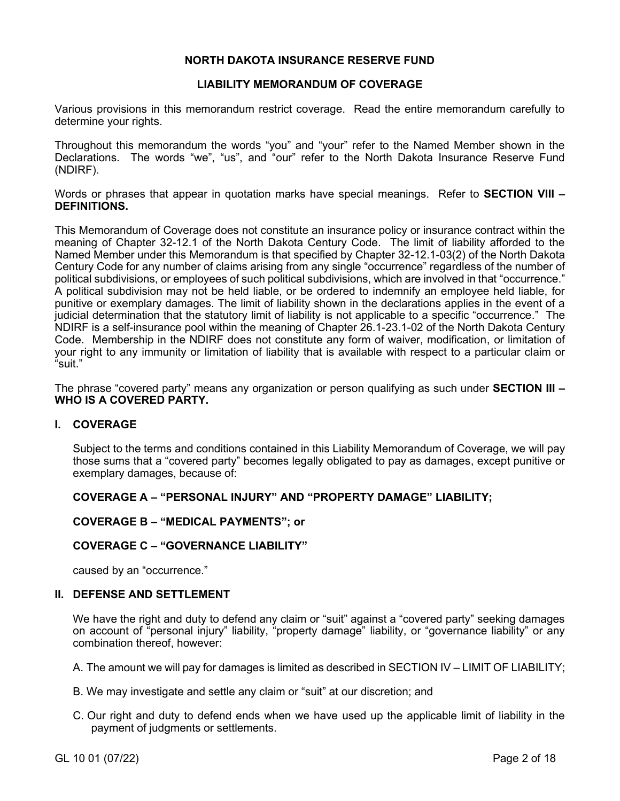# **NORTH DAKOTA INSURANCE RESERVE FUND**

# **LIABILITY MEMORANDUM OF COVERAGE**

Various provisions in this memorandum restrict coverage. Read the entire memorandum carefully to determine your rights.

Throughout this memorandum the words "you" and "your" refer to the Named Member shown in the Declarations. The words "we", "us", and "our" refer to the North Dakota Insurance Reserve Fund (NDIRF).

Words or phrases that appear in quotation marks have special meanings. Refer to **SECTION VIII – DEFINITIONS.**

This Memorandum of Coverage does not constitute an insurance policy or insurance contract within the meaning of Chapter 32-12.1 of the North Dakota Century Code. The limit of liability afforded to the Named Member under this Memorandum is that specified by Chapter 32-12.1-03(2) of the North Dakota Century Code for any number of claims arising from any single "occurrence" regardless of the number of political subdivisions, or employees of such political subdivisions, which are involved in that "occurrence." A political subdivision may not be held liable, or be ordered to indemnify an employee held liable, for punitive or exemplary damages. The limit of liability shown in the declarations applies in the event of a judicial determination that the statutory limit of liability is not applicable to a specific "occurrence." The NDIRF is a self-insurance pool within the meaning of Chapter 26.1-23.1-02 of the North Dakota Century Code. Membership in the NDIRF does not constitute any form of waiver, modification, or limitation of your right to any immunity or limitation of liability that is available with respect to a particular claim or "suit."

The phrase "covered party" means any organization or person qualifying as such under **SECTION III – WHO IS A COVERED PARTY.**

# **I. COVERAGE**

Subject to the terms and conditions contained in this Liability Memorandum of Coverage, we will pay those sums that a "covered party" becomes legally obligated to pay as damages, except punitive or exemplary damages, because of:

# **COVERAGE A – "PERSONAL INJURY" AND "PROPERTY DAMAGE" LIABILITY;**

# **COVERAGE B – "MEDICAL PAYMENTS"; or**

# **COVERAGE C – "GOVERNANCE LIABILITY"**

caused by an "occurrence."

# **II. DEFENSE AND SETTLEMENT**

We have the right and duty to defend any claim or "suit" against a "covered party" seeking damages on account of "personal injury" liability, "property damage" liability, or "governance liability" or any combination thereof, however:

- A. The amount we will pay for damages is limited as described in SECTION IV LIMIT OF LIABILITY;
- B. We may investigate and settle any claim or "suit" at our discretion; and
- C. Our right and duty to defend ends when we have used up the applicable limit of liability in the payment of judgments or settlements.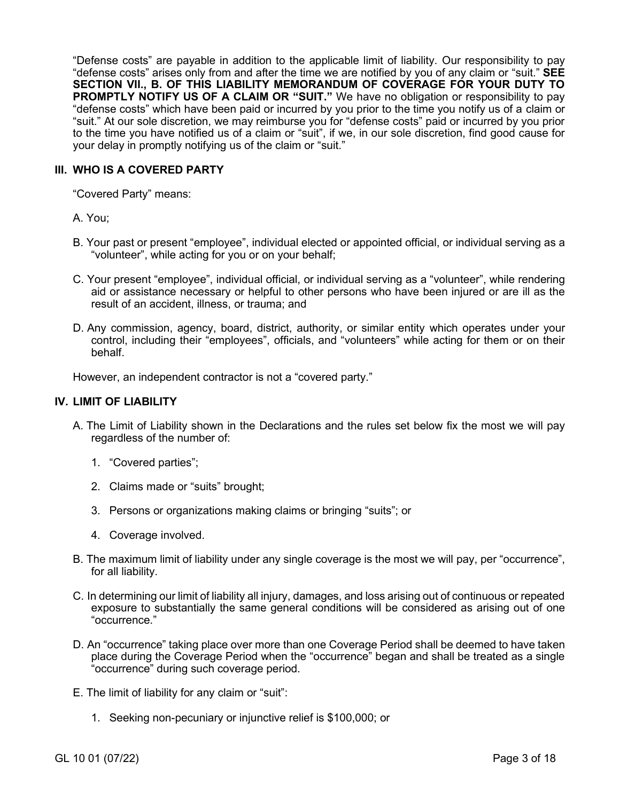"Defense costs" are payable in addition to the applicable limit of liability. Our responsibility to pay "defense costs" arises only from and after the time we are notified by you of any claim or "suit." **SEE SECTION VII., B. OF THIS LIABILITY MEMORANDUM OF COVERAGE FOR YOUR DUTY TO PROMPTLY NOTIFY US OF A CLAIM OR "SUIT."** We have no obligation or responsibility to pay "defense costs" which have been paid or incurred by you prior to the time you notify us of a claim or "suit." At our sole discretion, we may reimburse you for "defense costs" paid or incurred by you prior to the time you have notified us of a claim or "suit", if we, in our sole discretion, find good cause for your delay in promptly notifying us of the claim or "suit."

# **III. WHO IS A COVERED PARTY**

"Covered Party" means:

# A. You;

- B. Your past or present "employee", individual elected or appointed official, or individual serving as a "volunteer", while acting for you or on your behalf;
- C. Your present "employee", individual official, or individual serving as a "volunteer", while rendering aid or assistance necessary or helpful to other persons who have been injured or are ill as the result of an accident, illness, or trauma; and
- D. Any commission, agency, board, district, authority, or similar entity which operates under your control, including their "employees", officials, and "volunteers" while acting for them or on their behalf.

However, an independent contractor is not a "covered party."

### **IV. LIMIT OF LIABILITY**

- A. The Limit of Liability shown in the Declarations and the rules set below fix the most we will pay regardless of the number of:
	- 1. "Covered parties";
	- 2. Claims made or "suits" brought;
	- 3. Persons or organizations making claims or bringing "suits"; or
	- 4. Coverage involved.
- B. The maximum limit of liability under any single coverage is the most we will pay, per "occurrence", for all liability.
- C. In determining our limit of liability all injury, damages, and loss arising out of continuous or repeated exposure to substantially the same general conditions will be considered as arising out of one "occurrence."
- D. An "occurrence" taking place over more than one Coverage Period shall be deemed to have taken place during the Coverage Period when the "occurrence" began and shall be treated as a single "occurrence" during such coverage period.
- E. The limit of liability for any claim or "suit":
	- 1. Seeking non-pecuniary or injunctive relief is \$100,000; or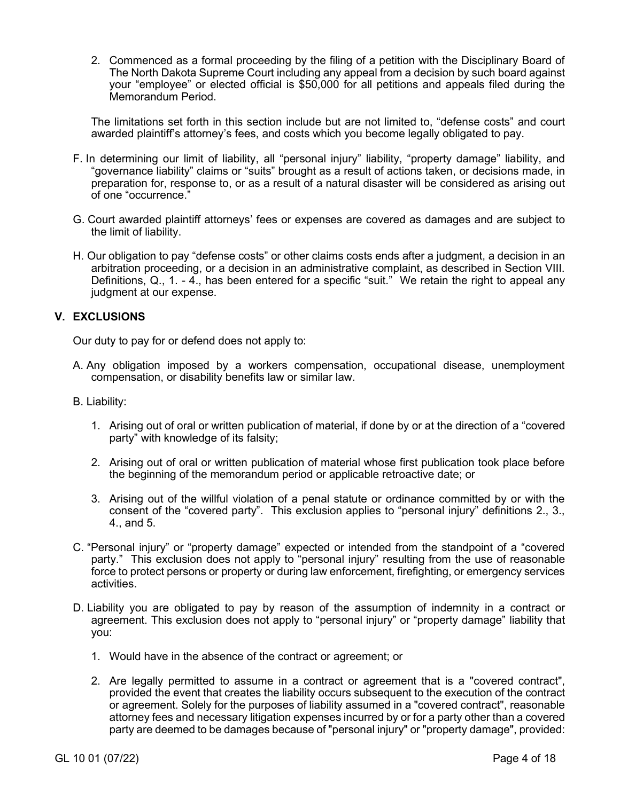2. Commenced as a formal proceeding by the filing of a petition with the Disciplinary Board of The North Dakota Supreme Court including any appeal from a decision by such board against your "employee" or elected official is \$50,000 for all petitions and appeals filed during the Memorandum Period.

The limitations set forth in this section include but are not limited to, "defense costs" and court awarded plaintiff's attorney's fees, and costs which you become legally obligated to pay.

- F. In determining our limit of liability, all "personal injury" liability, "property damage" liability, and "governance liability" claims or "suits" brought as a result of actions taken, or decisions made, in preparation for, response to, or as a result of a natural disaster will be considered as arising out of one "occurrence."
- G. Court awarded plaintiff attorneys' fees or expenses are covered as damages and are subject to the limit of liability.
- H. Our obligation to pay "defense costs" or other claims costs ends after a judgment, a decision in an arbitration proceeding, or a decision in an administrative complaint, as described in Section VIII. Definitions, Q., 1. - 4., has been entered for a specific "suit." We retain the right to appeal any judgment at our expense.

# **V. EXCLUSIONS**

Our duty to pay for or defend does not apply to:

- A. Any obligation imposed by a workers compensation, occupational disease, unemployment compensation, or disability benefits law or similar law.
- B. Liability:
	- 1. Arising out of oral or written publication of material, if done by or at the direction of a "covered party" with knowledge of its falsity;
	- 2. Arising out of oral or written publication of material whose first publication took place before the beginning of the memorandum period or applicable retroactive date; or
	- 3. Arising out of the willful violation of a penal statute or ordinance committed by or with the consent of the "covered party". This exclusion applies to "personal injury" definitions 2., 3., 4., and 5.
- C. "Personal injury" or "property damage" expected or intended from the standpoint of a "covered party." This exclusion does not apply to "personal injury" resulting from the use of reasonable force to protect persons or property or during law enforcement, firefighting, or emergency services activities.
- D. Liability you are obligated to pay by reason of the assumption of indemnity in a contract or agreement. This exclusion does not apply to "personal injury" or "property damage" liability that you:
	- 1. Would have in the absence of the contract or agreement; or
	- 2. Are legally permitted to assume in a contract or agreement that is a "covered contract", provided the event that creates the liability occurs subsequent to the execution of the contract or agreement. Solely for the purposes of liability assumed in a "covered contract", reasonable attorney fees and necessary litigation expenses incurred by or for a party other than a covered party are deemed to be damages because of "personal injury" or "property damage", provided: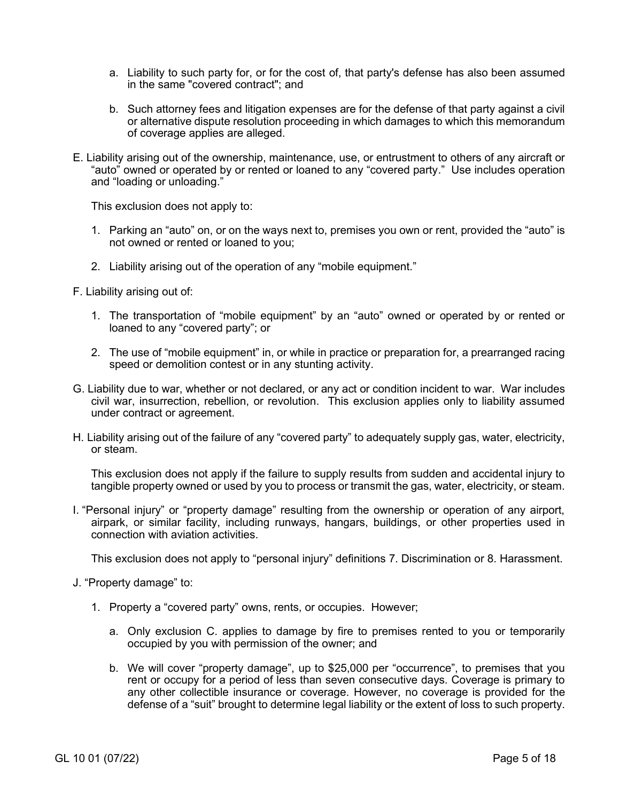- a. Liability to such party for, or for the cost of, that party's defense has also been assumed in the same "covered contract"; and
- b. Such attorney fees and litigation expenses are for the defense of that party against a civil or alternative dispute resolution proceeding in which damages to which this memorandum of coverage applies are alleged.
- E. Liability arising out of the ownership, maintenance, use, or entrustment to others of any aircraft or "auto" owned or operated by or rented or loaned to any "covered party." Use includes operation and "loading or unloading."

This exclusion does not apply to:

- 1. Parking an "auto" on, or on the ways next to, premises you own or rent, provided the "auto" is not owned or rented or loaned to you;
- 2. Liability arising out of the operation of any "mobile equipment."
- F. Liability arising out of:
	- 1. The transportation of "mobile equipment" by an "auto" owned or operated by or rented or loaned to any "covered party"; or
	- 2. The use of "mobile equipment" in, or while in practice or preparation for, a prearranged racing speed or demolition contest or in any stunting activity.
- G. Liability due to war, whether or not declared, or any act or condition incident to war. War includes civil war, insurrection, rebellion, or revolution. This exclusion applies only to liability assumed under contract or agreement.
- H. Liability arising out of the failure of any "covered party" to adequately supply gas, water, electricity, or steam.

This exclusion does not apply if the failure to supply results from sudden and accidental injury to tangible property owned or used by you to process or transmit the gas, water, electricity, or steam.

I. "Personal injury" or "property damage" resulting from the ownership or operation of any airport, airpark, or similar facility, including runways, hangars, buildings, or other properties used in connection with aviation activities.

This exclusion does not apply to "personal injury" definitions 7. Discrimination or 8. Harassment.

- J. "Property damage" to:
	- 1. Property a "covered party" owns, rents, or occupies. However;
		- a. Only exclusion C. applies to damage by fire to premises rented to you or temporarily occupied by you with permission of the owner; and
		- b. We will cover "property damage", up to \$25,000 per "occurrence", to premises that you rent or occupy for a period of less than seven consecutive days. Coverage is primary to any other collectible insurance or coverage. However, no coverage is provided for the defense of a "suit" brought to determine legal liability or the extent of loss to such property.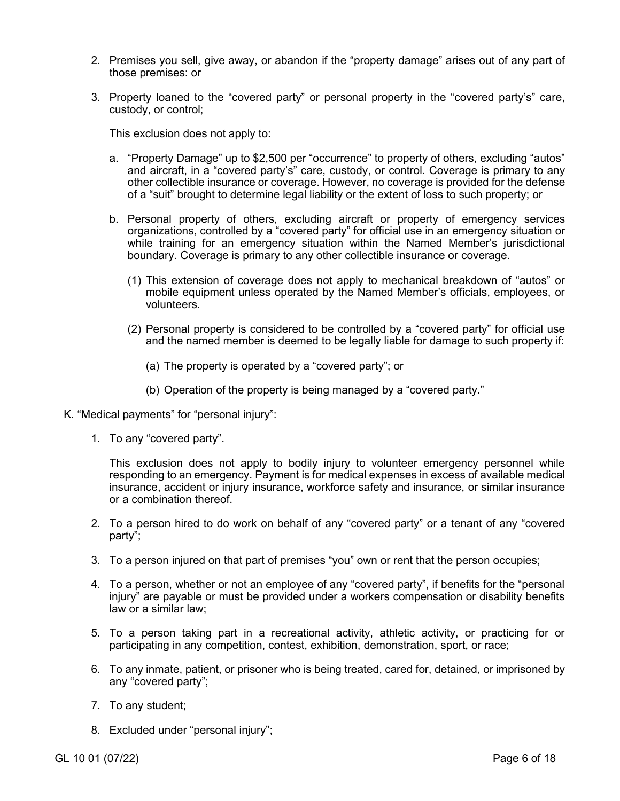- 2. Premises you sell, give away, or abandon if the "property damage" arises out of any part of those premises: or
- 3. Property loaned to the "covered party" or personal property in the "covered party's" care, custody, or control;

This exclusion does not apply to:

- a. "Property Damage" up to \$2,500 per "occurrence" to property of others, excluding "autos" and aircraft, in a "covered party's" care, custody, or control. Coverage is primary to any other collectible insurance or coverage. However, no coverage is provided for the defense of a "suit" brought to determine legal liability or the extent of loss to such property; or
- b. Personal property of others, excluding aircraft or property of emergency services organizations, controlled by a "covered party" for official use in an emergency situation or while training for an emergency situation within the Named Member's jurisdictional boundary. Coverage is primary to any other collectible insurance or coverage.
	- (1) This extension of coverage does not apply to mechanical breakdown of "autos" or mobile equipment unless operated by the Named Member's officials, employees, or volunteers.
	- (2) Personal property is considered to be controlled by a "covered party" for official use and the named member is deemed to be legally liable for damage to such property if:
		- (a) The property is operated by a "covered party"; or
		- (b) Operation of the property is being managed by a "covered party."
- K. "Medical payments" for "personal injury":
	- 1. To any "covered party".

This exclusion does not apply to bodily injury to volunteer emergency personnel while responding to an emergency. Payment is for medical expenses in excess of available medical insurance, accident or injury insurance, workforce safety and insurance, or similar insurance or a combination thereof.

- 2. To a person hired to do work on behalf of any "covered party" or a tenant of any "covered party";
- 3. To a person injured on that part of premises "you" own or rent that the person occupies;
- 4. To a person, whether or not an employee of any "covered party", if benefits for the "personal injury" are payable or must be provided under a workers compensation or disability benefits law or a similar law;
- 5. To a person taking part in a recreational activity, athletic activity, or practicing for or participating in any competition, contest, exhibition, demonstration, sport, or race;
- 6. To any inmate, patient, or prisoner who is being treated, cared for, detained, or imprisoned by any "covered party";
- 7. To any student;
- 8. Excluded under "personal injury";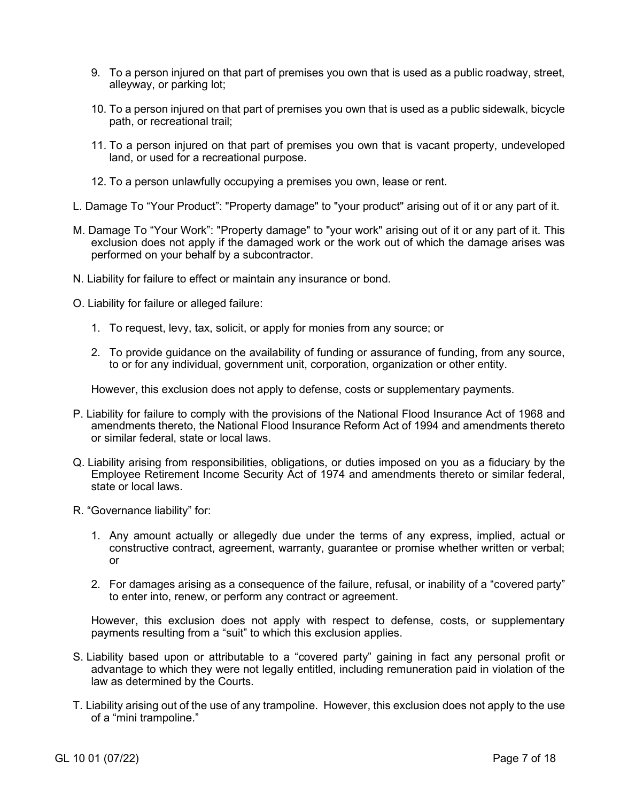- 9. To a person injured on that part of premises you own that is used as a public roadway, street, alleyway, or parking lot;
- 10. To a person injured on that part of premises you own that is used as a public sidewalk, bicycle path, or recreational trail;
- 11. To a person injured on that part of premises you own that is vacant property, undeveloped land, or used for a recreational purpose.
- 12. To a person unlawfully occupying a premises you own, lease or rent.
- L. Damage To "Your Product": "Property damage" to "your product" arising out of it or any part of it.
- M. Damage To "Your Work": "Property damage" to "your work" arising out of it or any part of it. This exclusion does not apply if the damaged work or the work out of which the damage arises was performed on your behalf by a subcontractor.
- N. Liability for failure to effect or maintain any insurance or bond.
- O. Liability for failure or alleged failure:
	- 1. To request, levy, tax, solicit, or apply for monies from any source; or
	- 2. To provide guidance on the availability of funding or assurance of funding, from any source, to or for any individual, government unit, corporation, organization or other entity.

However, this exclusion does not apply to defense, costs or supplementary payments.

- P. Liability for failure to comply with the provisions of the National Flood Insurance Act of 1968 and amendments thereto, the National Flood Insurance Reform Act of 1994 and amendments thereto or similar federal, state or local laws.
- Q. Liability arising from responsibilities, obligations, or duties imposed on you as a fiduciary by the Employee Retirement Income Security Act of 1974 and amendments thereto or similar federal, state or local laws.
- R. "Governance liability" for:
	- 1. Any amount actually or allegedly due under the terms of any express, implied, actual or constructive contract, agreement, warranty, guarantee or promise whether written or verbal; or
	- 2. For damages arising as a consequence of the failure, refusal, or inability of a "covered party" to enter into, renew, or perform any contract or agreement.

However, this exclusion does not apply with respect to defense, costs, or supplementary payments resulting from a "suit" to which this exclusion applies.

- S. Liability based upon or attributable to a "covered party" gaining in fact any personal profit or advantage to which they were not legally entitled, including remuneration paid in violation of the law as determined by the Courts.
- T. Liability arising out of the use of any trampoline. However, this exclusion does not apply to the use of a "mini trampoline."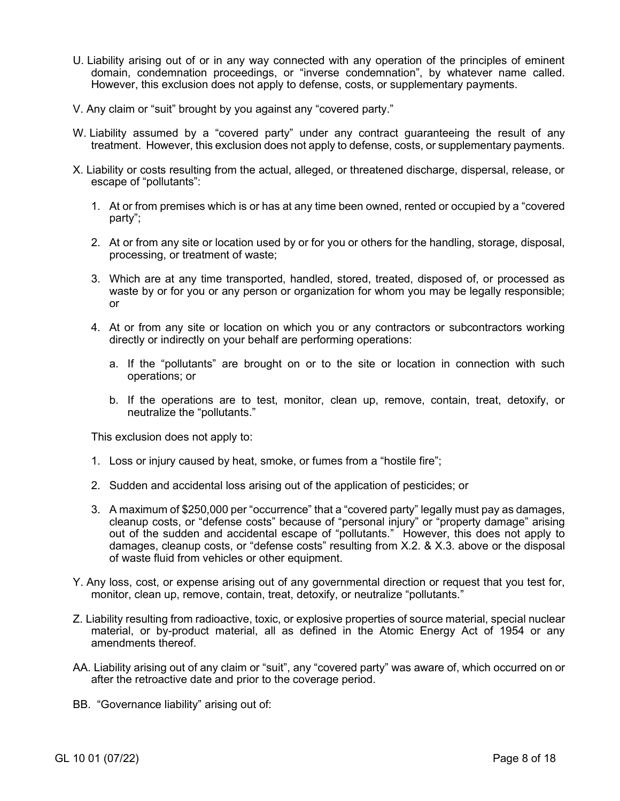- U. Liability arising out of or in any way connected with any operation of the principles of eminent domain, condemnation proceedings, or "inverse condemnation", by whatever name called. However, this exclusion does not apply to defense, costs, or supplementary payments.
- V. Any claim or "suit" brought by you against any "covered party."
- W. Liability assumed by a "covered party" under any contract guaranteeing the result of any treatment. However, this exclusion does not apply to defense, costs, or supplementary payments.
- X. Liability or costs resulting from the actual, alleged, or threatened discharge, dispersal, release, or escape of "pollutants":
	- 1. At or from premises which is or has at any time been owned, rented or occupied by a "covered party";
	- 2. At or from any site or location used by or for you or others for the handling, storage, disposal, processing, or treatment of waste;
	- 3. Which are at any time transported, handled, stored, treated, disposed of, or processed as waste by or for you or any person or organization for whom you may be legally responsible; or
	- 4. At or from any site or location on which you or any contractors or subcontractors working directly or indirectly on your behalf are performing operations:
		- a. If the "pollutants" are brought on or to the site or location in connection with such operations; or
		- b. If the operations are to test, monitor, clean up, remove, contain, treat, detoxify, or neutralize the "pollutants."

This exclusion does not apply to:

- 1. Loss or injury caused by heat, smoke, or fumes from a "hostile fire";
- 2. Sudden and accidental loss arising out of the application of pesticides; or
- 3. A maximum of \$250,000 per "occurrence" that a "covered party" legally must pay as damages, cleanup costs, or "defense costs" because of "personal injury" or "property damage" arising out of the sudden and accidental escape of "pollutants." However, this does not apply to damages, cleanup costs, or "defense costs" resulting from X.2. & X.3. above or the disposal of waste fluid from vehicles or other equipment.
- Y. Any loss, cost, or expense arising out of any governmental direction or request that you test for, monitor, clean up, remove, contain, treat, detoxify, or neutralize "pollutants."
- Z. Liability resulting from radioactive, toxic, or explosive properties of source material, special nuclear material, or by-product material, all as defined in the Atomic Energy Act of 1954 or any amendments thereof.
- AA. Liability arising out of any claim or "suit", any "covered party" was aware of, which occurred on or after the retroactive date and prior to the coverage period.

BB. "Governance liability" arising out of: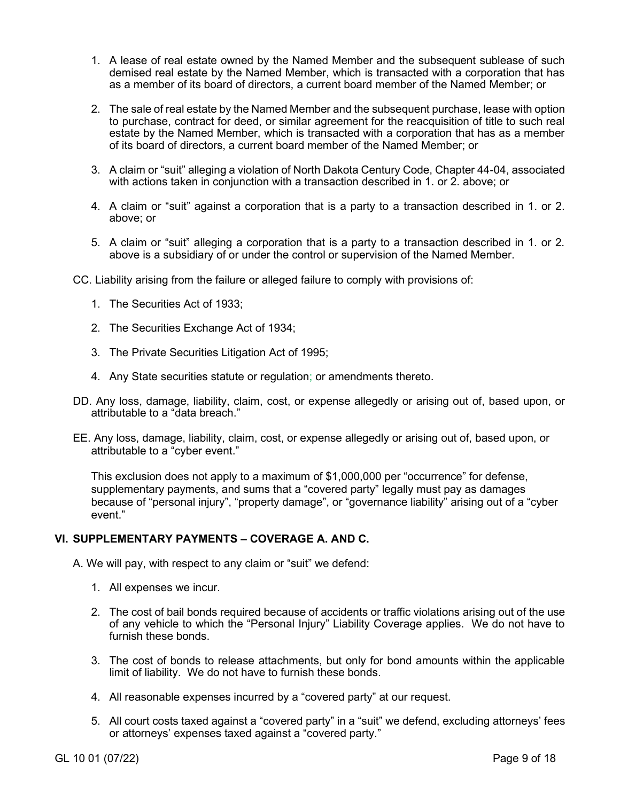- 1. A lease of real estate owned by the Named Member and the subsequent sublease of such demised real estate by the Named Member, which is transacted with a corporation that has as a member of its board of directors, a current board member of the Named Member; or
- 2. The sale of real estate by the Named Member and the subsequent purchase, lease with option to purchase, contract for deed, or similar agreement for the reacquisition of title to such real estate by the Named Member, which is transacted with a corporation that has as a member of its board of directors, a current board member of the Named Member; or
- 3. A claim or "suit" alleging a violation of North Dakota Century Code, Chapter 44-04, associated with actions taken in conjunction with a transaction described in 1. or 2. above; or
- 4. A claim or "suit" against a corporation that is a party to a transaction described in 1. or 2. above; or
- 5. A claim or "suit" alleging a corporation that is a party to a transaction described in 1. or 2. above is a subsidiary of or under the control or supervision of the Named Member.
- CC. Liability arising from the failure or alleged failure to comply with provisions of:
	- 1. The Securities Act of 1933;
	- 2. The Securities Exchange Act of 1934;
	- 3. The Private Securities Litigation Act of 1995;
	- 4. Any State securities statute or regulation; or amendments thereto.
- DD. Any loss, damage, liability, claim, cost, or expense allegedly or arising out of, based upon, or attributable to a "data breach."
- EE. Any loss, damage, liability, claim, cost, or expense allegedly or arising out of, based upon, or attributable to a "cyber event."

This exclusion does not apply to a maximum of \$1,000,000 per "occurrence" for defense, supplementary payments, and sums that a "covered party" legally must pay as damages because of "personal injury", "property damage", or "governance liability" arising out of a "cyber event."

# **VI. SUPPLEMENTARY PAYMENTS – COVERAGE A. AND C.**

A. We will pay, with respect to any claim or "suit" we defend:

- 1. All expenses we incur.
- 2. The cost of bail bonds required because of accidents or traffic violations arising out of the use of any vehicle to which the "Personal Injury" Liability Coverage applies. We do not have to furnish these bonds.
- 3. The cost of bonds to release attachments, but only for bond amounts within the applicable limit of liability. We do not have to furnish these bonds.
- 4. All reasonable expenses incurred by a "covered party" at our request.
- 5. All court costs taxed against a "covered party" in a "suit" we defend, excluding attorneys' fees or attorneys' expenses taxed against a "covered party."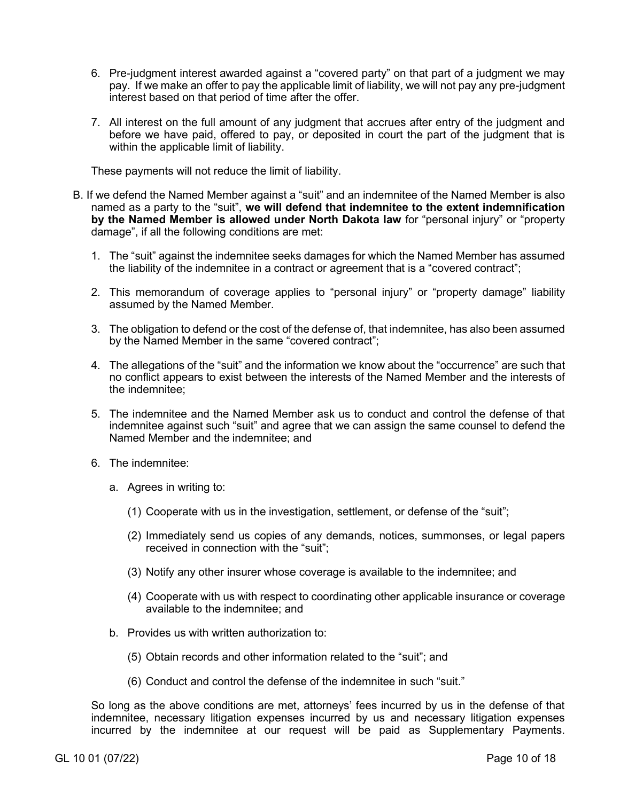- 6. Pre-judgment interest awarded against a "covered party" on that part of a judgment we may pay. If we make an offer to pay the applicable limit of liability, we will not pay any pre-judgment interest based on that period of time after the offer.
- 7. All interest on the full amount of any judgment that accrues after entry of the judgment and before we have paid, offered to pay, or deposited in court the part of the judgment that is within the applicable limit of liability.

These payments will not reduce the limit of liability.

- B. If we defend the Named Member against a "suit" and an indemnitee of the Named Member is also named as a party to the "suit", **we will defend that indemnitee to the extent indemnification by the Named Member is allowed under North Dakota law** for "personal injury" or "property damage", if all the following conditions are met:
	- 1. The "suit" against the indemnitee seeks damages for which the Named Member has assumed the liability of the indemnitee in a contract or agreement that is a "covered contract";
	- 2. This memorandum of coverage applies to "personal injury" or "property damage" liability assumed by the Named Member.
	- 3. The obligation to defend or the cost of the defense of, that indemnitee, has also been assumed by the Named Member in the same "covered contract";
	- 4. The allegations of the "suit" and the information we know about the "occurrence" are such that no conflict appears to exist between the interests of the Named Member and the interests of the indemnitee;
	- 5. The indemnitee and the Named Member ask us to conduct and control the defense of that indemnitee against such "suit" and agree that we can assign the same counsel to defend the Named Member and the indemnitee; and
	- 6. The indemnitee:
		- a. Agrees in writing to:
			- (1) Cooperate with us in the investigation, settlement, or defense of the "suit";
			- (2) Immediately send us copies of any demands, notices, summonses, or legal papers received in connection with the "suit";
			- (3) Notify any other insurer whose coverage is available to the indemnitee; and
			- (4) Cooperate with us with respect to coordinating other applicable insurance or coverage available to the indemnitee; and
		- b. Provides us with written authorization to:
			- (5) Obtain records and other information related to the "suit"; and
			- (6) Conduct and control the defense of the indemnitee in such "suit."

So long as the above conditions are met, attorneys' fees incurred by us in the defense of that indemnitee, necessary litigation expenses incurred by us and necessary litigation expenses incurred by the indemnitee at our request will be paid as Supplementary Payments.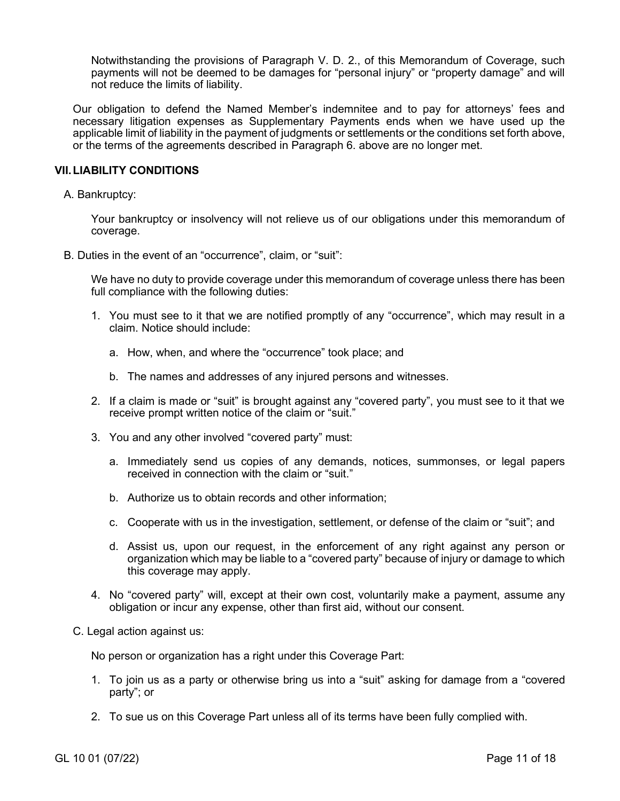Notwithstanding the provisions of Paragraph V. D. 2., of this Memorandum of Coverage, such payments will not be deemed to be damages for "personal injury" or "property damage" and will not reduce the limits of liability.

Our obligation to defend the Named Member's indemnitee and to pay for attorneys' fees and necessary litigation expenses as Supplementary Payments ends when we have used up the applicable limit of liability in the payment of judgments or settlements or the conditions set forth above, or the terms of the agreements described in Paragraph 6. above are no longer met.

### **VII.LIABILITY CONDITIONS**

A. Bankruptcy:

Your bankruptcy or insolvency will not relieve us of our obligations under this memorandum of coverage.

B. Duties in the event of an "occurrence", claim, or "suit":

We have no duty to provide coverage under this memorandum of coverage unless there has been full compliance with the following duties:

- 1. You must see to it that we are notified promptly of any "occurrence", which may result in a claim. Notice should include:
	- a. How, when, and where the "occurrence" took place; and
	- b. The names and addresses of any injured persons and witnesses.
- 2. If a claim is made or "suit" is brought against any "covered party", you must see to it that we receive prompt written notice of the claim or "suit."
- 3. You and any other involved "covered party" must:
	- a. Immediately send us copies of any demands, notices, summonses, or legal papers received in connection with the claim or "suit."
	- b. Authorize us to obtain records and other information;
	- c. Cooperate with us in the investigation, settlement, or defense of the claim or "suit"; and
	- d. Assist us, upon our request, in the enforcement of any right against any person or organization which may be liable to a "covered party" because of injury or damage to which this coverage may apply.
- 4. No "covered party" will, except at their own cost, voluntarily make a payment, assume any obligation or incur any expense, other than first aid, without our consent.
- C. Legal action against us:

No person or organization has a right under this Coverage Part:

- 1. To join us as a party or otherwise bring us into a "suit" asking for damage from a "covered party"; or
- 2. To sue us on this Coverage Part unless all of its terms have been fully complied with.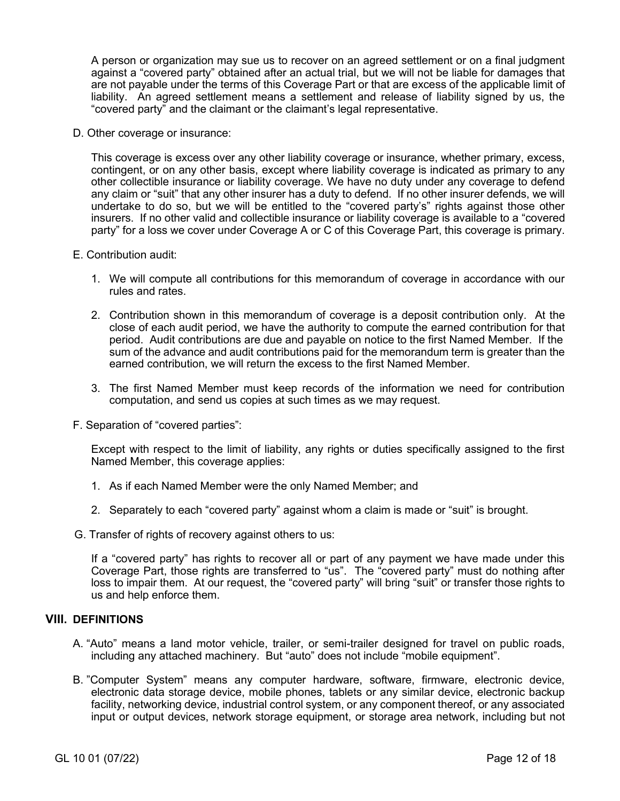A person or organization may sue us to recover on an agreed settlement or on a final judgment against a "covered party" obtained after an actual trial, but we will not be liable for damages that are not payable under the terms of this Coverage Part or that are excess of the applicable limit of liability. An agreed settlement means a settlement and release of liability signed by us, the "covered party" and the claimant or the claimant's legal representative.

D. Other coverage or insurance:

This coverage is excess over any other liability coverage or insurance, whether primary, excess, contingent, or on any other basis, except where liability coverage is indicated as primary to any other collectible insurance or liability coverage. We have no duty under any coverage to defend any claim or "suit" that any other insurer has a duty to defend. If no other insurer defends, we will undertake to do so, but we will be entitled to the "covered party's" rights against those other insurers. If no other valid and collectible insurance or liability coverage is available to a "covered party" for a loss we cover under Coverage A or C of this Coverage Part, this coverage is primary.

#### E. Contribution audit:

- 1. We will compute all contributions for this memorandum of coverage in accordance with our rules and rates.
- 2. Contribution shown in this memorandum of coverage is a deposit contribution only. At the close of each audit period, we have the authority to compute the earned contribution for that period. Audit contributions are due and payable on notice to the first Named Member. If the sum of the advance and audit contributions paid for the memorandum term is greater than the earned contribution, we will return the excess to the first Named Member.
- 3. The first Named Member must keep records of the information we need for contribution computation, and send us copies at such times as we may request.
- F. Separation of "covered parties":

Except with respect to the limit of liability, any rights or duties specifically assigned to the first Named Member, this coverage applies:

- 1. As if each Named Member were the only Named Member; and
- 2. Separately to each "covered party" against whom a claim is made or "suit" is brought.
- G. Transfer of rights of recovery against others to us:

If a "covered party" has rights to recover all or part of any payment we have made under this Coverage Part, those rights are transferred to "us". The "covered party" must do nothing after loss to impair them. At our request, the "covered party" will bring "suit" or transfer those rights to us and help enforce them.

# **VIII. DEFINITIONS**

- A. "Auto" means a land motor vehicle, trailer, or semi-trailer designed for travel on public roads, including any attached machinery. But "auto" does not include "mobile equipment".
- B. "Computer System" means any computer hardware, software, firmware, electronic device, electronic data storage device, mobile phones, tablets or any similar device, electronic backup facility, networking device, industrial control system, or any component thereof, or any associated input or output devices, network storage equipment, or storage area network, including but not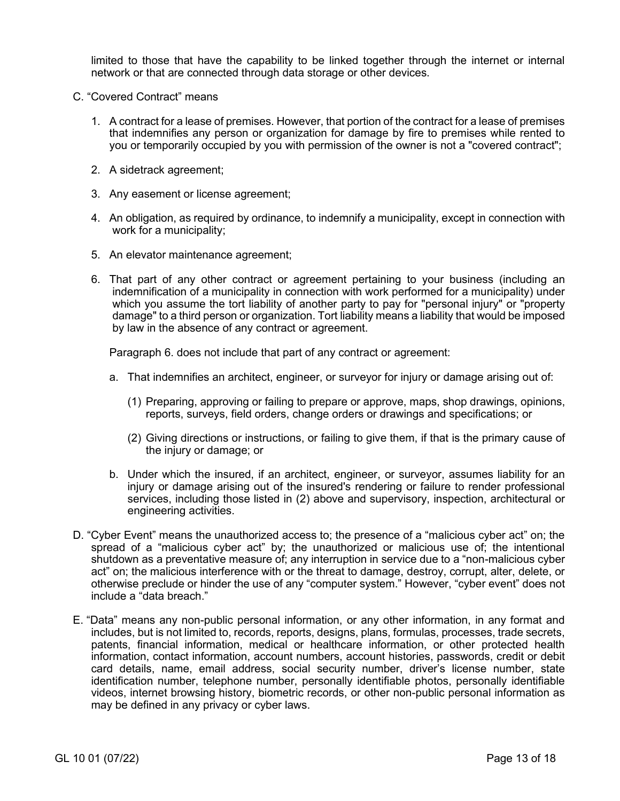limited to those that have the capability to be linked together through the internet or internal network or that are connected through data storage or other devices.

- C. "Covered Contract" means
	- 1. A contract for a lease of premises. However, that portion of the contract for a lease of premises that indemnifies any person or organization for damage by fire to premises while rented to you or temporarily occupied by you with permission of the owner is not a "covered contract";
	- 2. A sidetrack agreement;
	- 3. Any easement or license agreement;
	- 4. An obligation, as required by ordinance, to indemnify a municipality, except in connection with work for a municipality;
	- 5. An elevator maintenance agreement;
	- 6. That part of any other contract or agreement pertaining to your business (including an indemnification of a municipality in connection with work performed for a municipality) under which you assume the tort liability of another party to pay for "personal injury" or "property damage" to a third person or organization. Tort liability means a liability that would be imposed by law in the absence of any contract or agreement.

Paragraph 6. does not include that part of any contract or agreement:

- a. That indemnifies an architect, engineer, or surveyor for injury or damage arising out of:
	- (1) Preparing, approving or failing to prepare or approve, maps, shop drawings, opinions, reports, surveys, field orders, change orders or drawings and specifications; or
	- (2) Giving directions or instructions, or failing to give them, if that is the primary cause of the injury or damage; or
- b. Under which the insured, if an architect, engineer, or surveyor, assumes liability for an injury or damage arising out of the insured's rendering or failure to render professional services, including those listed in (2) above and supervisory, inspection, architectural or engineering activities.
- D. "Cyber Event" means the unauthorized access to; the presence of a "malicious cyber act" on; the spread of a "malicious cyber act" by; the unauthorized or malicious use of; the intentional shutdown as a preventative measure of; any interruption in service due to a "non-malicious cyber act" on; the malicious interference with or the threat to damage, destroy, corrupt, alter, delete, or otherwise preclude or hinder the use of any "computer system." However, "cyber event" does not include a "data breach."
- E. "Data" means any non-public personal information, or any other information, in any format and includes, but is not limited to, records, reports, designs, plans, formulas, processes, trade secrets, patents, financial information, medical or healthcare information, or other protected health information, contact information, account numbers, account histories, passwords, credit or debit card details, name, email address, social security number, driver's license number, state identification number, telephone number, personally identifiable photos, personally identifiable videos, internet browsing history, biometric records, or other non-public personal information as may be defined in any privacy or cyber laws.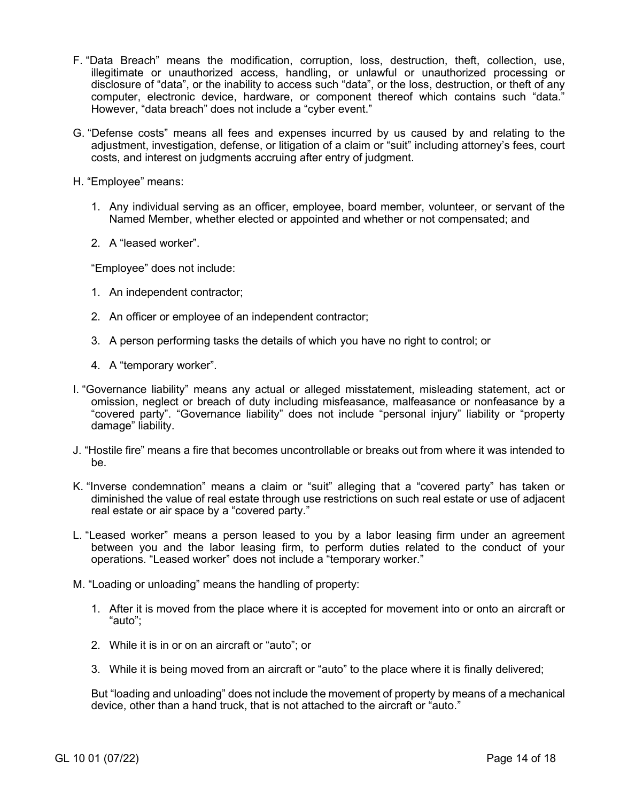- F. "Data Breach" means the modification, corruption, loss, destruction, theft, collection, use, illegitimate or unauthorized access, handling, or unlawful or unauthorized processing or disclosure of "data", or the inability to access such "data", or the loss, destruction, or theft of any computer, electronic device, hardware, or component thereof which contains such "data." However, "data breach" does not include a "cyber event."
- G. "Defense costs" means all fees and expenses incurred by us caused by and relating to the adjustment, investigation, defense, or litigation of a claim or "suit" including attorney's fees, court costs, and interest on judgments accruing after entry of judgment.
- H. "Employee" means:
	- 1. Any individual serving as an officer, employee, board member, volunteer, or servant of the Named Member, whether elected or appointed and whether or not compensated; and
	- 2. A "leased worker".

"Employee" does not include:

- 1. An independent contractor;
- 2. An officer or employee of an independent contractor;
- 3. A person performing tasks the details of which you have no right to control; or
- 4. A "temporary worker".
- I. "Governance liability" means any actual or alleged misstatement, misleading statement, act or omission, neglect or breach of duty including misfeasance, malfeasance or nonfeasance by a "covered party". "Governance liability" does not include "personal injury" liability or "property damage" liability.
- J. "Hostile fire" means a fire that becomes uncontrollable or breaks out from where it was intended to be.
- K. "Inverse condemnation" means a claim or "suit" alleging that a "covered party" has taken or diminished the value of real estate through use restrictions on such real estate or use of adjacent real estate or air space by a "covered party."
- L. "Leased worker" means a person leased to you by a labor leasing firm under an agreement between you and the labor leasing firm, to perform duties related to the conduct of your operations. "Leased worker" does not include a "temporary worker."
- M. "Loading or unloading" means the handling of property:
	- 1. After it is moved from the place where it is accepted for movement into or onto an aircraft or "auto";
	- 2. While it is in or on an aircraft or "auto"; or
	- 3. While it is being moved from an aircraft or "auto" to the place where it is finally delivered;

But "loading and unloading" does not include the movement of property by means of a mechanical device, other than a hand truck, that is not attached to the aircraft or "auto."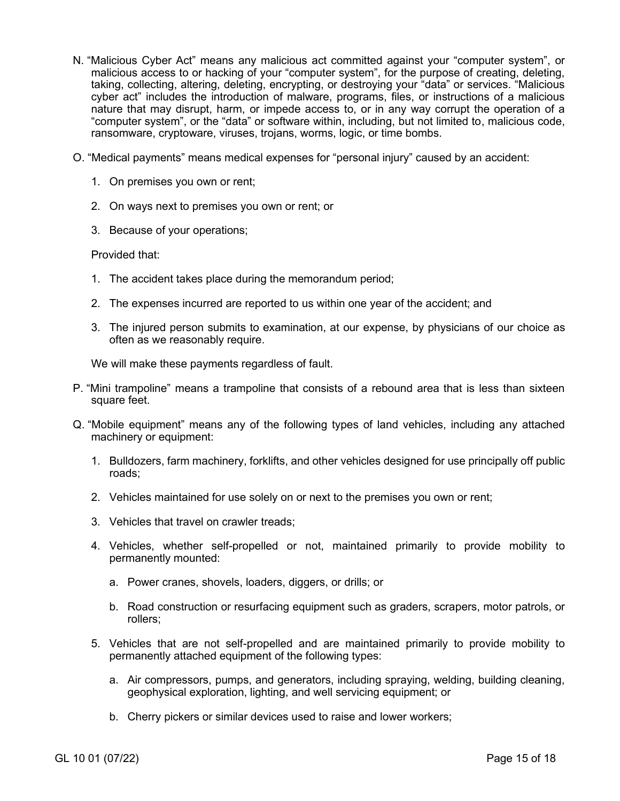- N. "Malicious Cyber Act" means any malicious act committed against your "computer system", or malicious access to or hacking of your "computer system", for the purpose of creating, deleting, taking, collecting, altering, deleting, encrypting, or destroying your "data" or services. "Malicious cyber act" includes the introduction of malware, programs, files, or instructions of a malicious nature that may disrupt, harm, or impede access to, or in any way corrupt the operation of a "computer system", or the "data" or software within, including, but not limited to, malicious code, ransomware, cryptoware, viruses, trojans, worms, logic, or time bombs.
- O. "Medical payments" means medical expenses for "personal injury" caused by an accident:
	- 1. On premises you own or rent;
	- 2. On ways next to premises you own or rent; or
	- 3. Because of your operations;

Provided that:

- 1. The accident takes place during the memorandum period;
- 2. The expenses incurred are reported to us within one year of the accident; and
- 3. The injured person submits to examination, at our expense, by physicians of our choice as often as we reasonably require.

We will make these payments regardless of fault.

- P. "Mini trampoline" means a trampoline that consists of a rebound area that is less than sixteen square feet.
- Q. "Mobile equipment" means any of the following types of land vehicles, including any attached machinery or equipment:
	- 1. Bulldozers, farm machinery, forklifts, and other vehicles designed for use principally off public roads;
	- 2. Vehicles maintained for use solely on or next to the premises you own or rent;
	- 3. Vehicles that travel on crawler treads;
	- 4. Vehicles, whether self-propelled or not, maintained primarily to provide mobility to permanently mounted:
		- a. Power cranes, shovels, loaders, diggers, or drills; or
		- b. Road construction or resurfacing equipment such as graders, scrapers, motor patrols, or rollers;
	- 5. Vehicles that are not self-propelled and are maintained primarily to provide mobility to permanently attached equipment of the following types:
		- a. Air compressors, pumps, and generators, including spraying, welding, building cleaning, geophysical exploration, lighting, and well servicing equipment; or
		- b. Cherry pickers or similar devices used to raise and lower workers;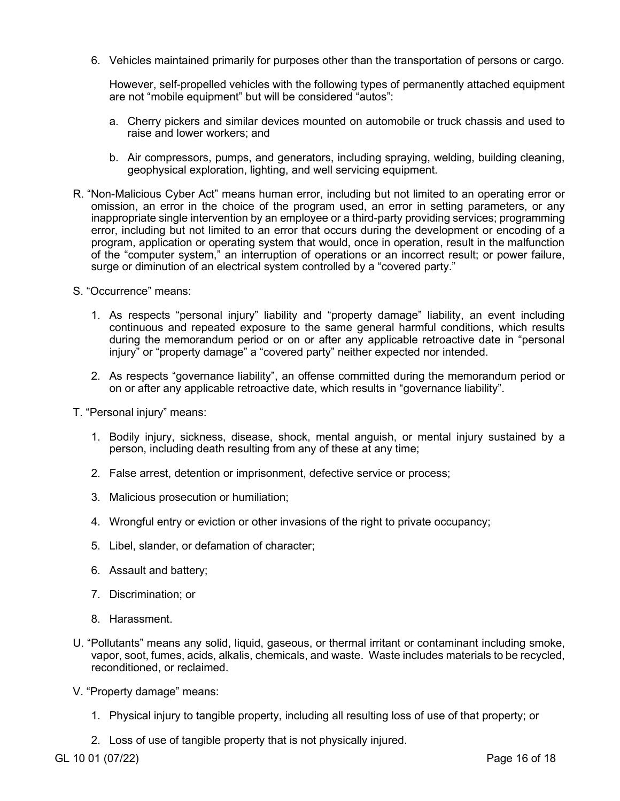6. Vehicles maintained primarily for purposes other than the transportation of persons or cargo.

However, self-propelled vehicles with the following types of permanently attached equipment are not "mobile equipment" but will be considered "autos":

- a. Cherry pickers and similar devices mounted on automobile or truck chassis and used to raise and lower workers; and
- b. Air compressors, pumps, and generators, including spraying, welding, building cleaning, geophysical exploration, lighting, and well servicing equipment.
- R. "Non-Malicious Cyber Act" means human error, including but not limited to an operating error or omission, an error in the choice of the program used, an error in setting parameters, or any inappropriate single intervention by an employee or a third-party providing services; programming error, including but not limited to an error that occurs during the development or encoding of a program, application or operating system that would, once in operation, result in the malfunction of the "computer system," an interruption of operations or an incorrect result; or power failure, surge or diminution of an electrical system controlled by a "covered party."
- S. "Occurrence" means:
	- 1. As respects "personal injury" liability and "property damage" liability, an event including continuous and repeated exposure to the same general harmful conditions, which results during the memorandum period or on or after any applicable retroactive date in "personal injury" or "property damage" a "covered party" neither expected nor intended.
	- 2. As respects "governance liability", an offense committed during the memorandum period or on or after any applicable retroactive date, which results in "governance liability".
- T. "Personal injury" means:
	- 1. Bodily injury, sickness, disease, shock, mental anguish, or mental injury sustained by a person, including death resulting from any of these at any time;
	- 2. False arrest, detention or imprisonment, defective service or process;
	- 3. Malicious prosecution or humiliation;
	- 4. Wrongful entry or eviction or other invasions of the right to private occupancy;
	- 5. Libel, slander, or defamation of character;
	- 6. Assault and battery;
	- 7. Discrimination; or
	- 8. Harassment.
- U. "Pollutants" means any solid, liquid, gaseous, or thermal irritant or contaminant including smoke, vapor, soot, fumes, acids, alkalis, chemicals, and waste. Waste includes materials to be recycled, reconditioned, or reclaimed.
- V. "Property damage" means:
	- 1. Physical injury to tangible property, including all resulting loss of use of that property; or
	- 2. Loss of use of tangible property that is not physically injured.

GL 10 01 (07/22) **Page 16 of 18**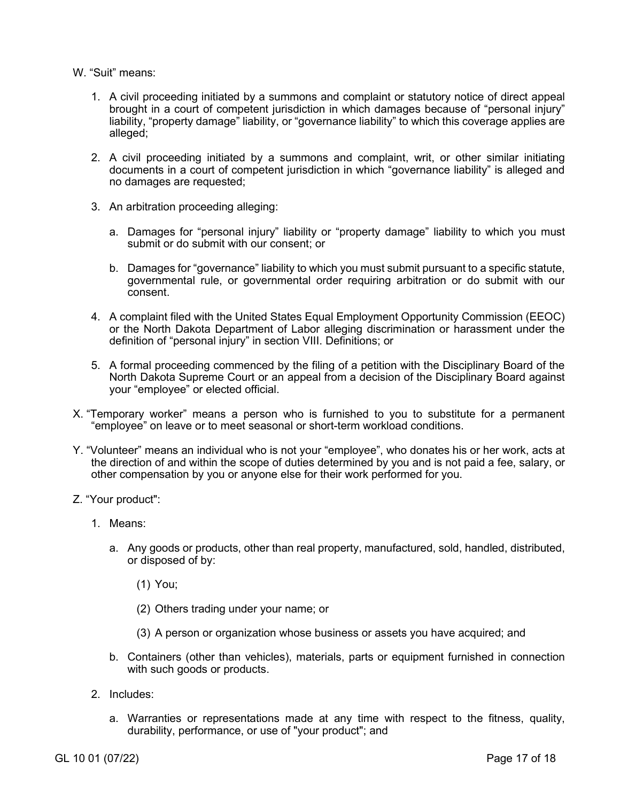### W. "Suit" means:

- 1. A civil proceeding initiated by a summons and complaint or statutory notice of direct appeal brought in a court of competent jurisdiction in which damages because of "personal injury" liability, "property damage" liability, or "governance liability" to which this coverage applies are alleged;
- 2. A civil proceeding initiated by a summons and complaint, writ, or other similar initiating documents in a court of competent jurisdiction in which "governance liability" is alleged and no damages are requested;
- 3. An arbitration proceeding alleging:
	- a. Damages for "personal injury" liability or "property damage" liability to which you must submit or do submit with our consent; or
	- b. Damages for "governance" liability to which you must submit pursuant to a specific statute, governmental rule, or governmental order requiring arbitration or do submit with our consent.
- 4. A complaint filed with the United States Equal Employment Opportunity Commission (EEOC) or the North Dakota Department of Labor alleging discrimination or harassment under the definition of "personal injury" in section VIII. Definitions; or
- 5. A formal proceeding commenced by the filing of a petition with the Disciplinary Board of the North Dakota Supreme Court or an appeal from a decision of the Disciplinary Board against your "employee" or elected official.
- X. "Temporary worker" means a person who is furnished to you to substitute for a permanent "employee" on leave or to meet seasonal or short-term workload conditions.
- Y. "Volunteer" means an individual who is not your "employee", who donates his or her work, acts at the direction of and within the scope of duties determined by you and is not paid a fee, salary, or other compensation by you or anyone else for their work performed for you.
- Z. "Your product":
	- 1. Means:
		- a. Any goods or products, other than real property, manufactured, sold, handled, distributed, or disposed of by:
			- (1) You;
			- (2) Others trading under your name; or
			- (3) A person or organization whose business or assets you have acquired; and
		- b. Containers (other than vehicles), materials, parts or equipment furnished in connection with such goods or products.
	- 2. Includes:
		- a. Warranties or representations made at any time with respect to the fitness, quality, durability, performance, or use of "your product"; and